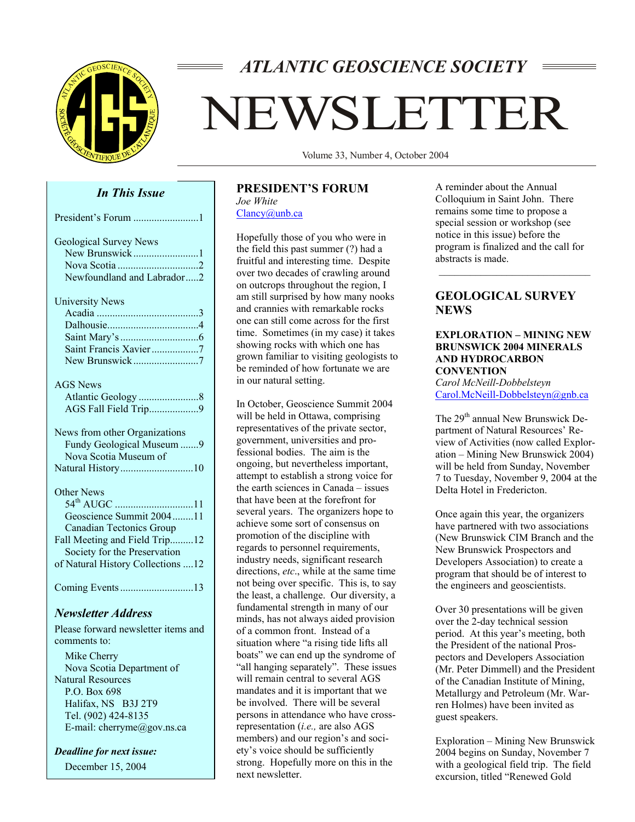

# *ATLANTIC GEOSCIENCE SOCIETY*

# NEWSLETTER

Volume 33, Number 4, October 2004

# *In This Issue*

| President's Forum 1                                                                                                                                                                     |
|-----------------------------------------------------------------------------------------------------------------------------------------------------------------------------------------|
| <b>Geological Survey News</b><br>New Brunswick1<br>Newfoundland and Labrador2                                                                                                           |
| <b>University News</b><br>Saint Francis Xavier7<br>New Brunswick7                                                                                                                       |
| <b>AGS</b> News<br>AGS Fall Field Trip9                                                                                                                                                 |
| News from other Organizations<br>Fundy Geological Museum 9<br>Nova Scotia Museum of<br>Natural History10                                                                                |
| <b>Other News</b><br>Geoscience Summit 200411<br><b>Canadian Tectonics Group</b><br>Fall Meeting and Field Trip12<br>Society for the Preservation<br>of Natural History Collections  12 |
| Coming Events 13                                                                                                                                                                        |

# *Newsletter Address*

Please forward newsletter items and comments to:

 Mike Cherry Nova Scotia Department of Natural Resources P.O. Box 698 Halifax, NS B3J 2T9 Tel. (902) 424-8135 E-mail: cherryme@gov.ns.ca

*Deadline for next issue:* December 15, 2004

# **PRESIDENT'S FORUM**

*Joe White*  Clancy@unb.ca

Hopefully those of you who were in the field this past summer (?) had a fruitful and interesting time. Despite over two decades of crawling around on outcrops throughout the region, I am still surprised by how many nooks and crannies with remarkable rocks one can still come across for the first time. Sometimes (in my case) it takes showing rocks with which one has grown familiar to visiting geologists to be reminded of how fortunate we are in our natural setting.

In October, Geoscience Summit 2004 will be held in Ottawa, comprising representatives of the private sector, government, universities and professional bodies. The aim is the ongoing, but nevertheless important, attempt to establish a strong voice for the earth sciences in Canada – issues that have been at the forefront for several years. The organizers hope to achieve some sort of consensus on promotion of the discipline with regards to personnel requirements, industry needs, significant research directions, *etc*., while at the same time not being over specific. This is, to say the least, a challenge. Our diversity, a fundamental strength in many of our minds, has not always aided provision of a common front. Instead of a situation where "a rising tide lifts all boats" we can end up the syndrome of "all hanging separately". These issues will remain central to several AGS mandates and it is important that we be involved. There will be several persons in attendance who have crossrepresentation (*i.e.,* are also AGS members) and our region's and society's voice should be sufficiently strong. Hopefully more on this in the next newsletter.

A reminder about the Annual Colloquium in Saint John. There remains some time to propose a special session or workshop (see notice in this issue) before the program is finalized and the call for abstracts is made.

\_\_\_\_\_\_\_\_\_\_\_\_\_\_\_\_\_\_\_\_\_\_\_\_\_\_\_\_\_

# **GEOLOGICAL SURVEY NEWS**

#### **EXPLORATION – MINING NEW BRUNSWICK 2004 MINERALS AND HYDROCARBON CONVENTION**

*Carol McNeill-Dobbelsteyn*  Carol.McNeill-Dobbelsteyn@gnb.ca

The 29<sup>th</sup> annual New Brunswick Department of Natural Resources' Review of Activities (now called Exploration – Mining New Brunswick 2004) will be held from Sunday, November 7 to Tuesday, November 9, 2004 at the Delta Hotel in Fredericton.

Once again this year, the organizers have partnered with two associations (New Brunswick CIM Branch and the New Brunswick Prospectors and Developers Association) to create a program that should be of interest to the engineers and geoscientists.

Over 30 presentations will be given over the 2-day technical session period. At this year's meeting, both the President of the national Prospectors and Developers Association (Mr. Peter Dimmell) and the President of the Canadian Institute of Mining, Metallurgy and Petroleum (Mr. Warren Holmes) have been invited as guest speakers.

Exploration – Mining New Brunswick 2004 begins on Sunday, November 7 with a geological field trip. The field excursion, titled "Renewed Gold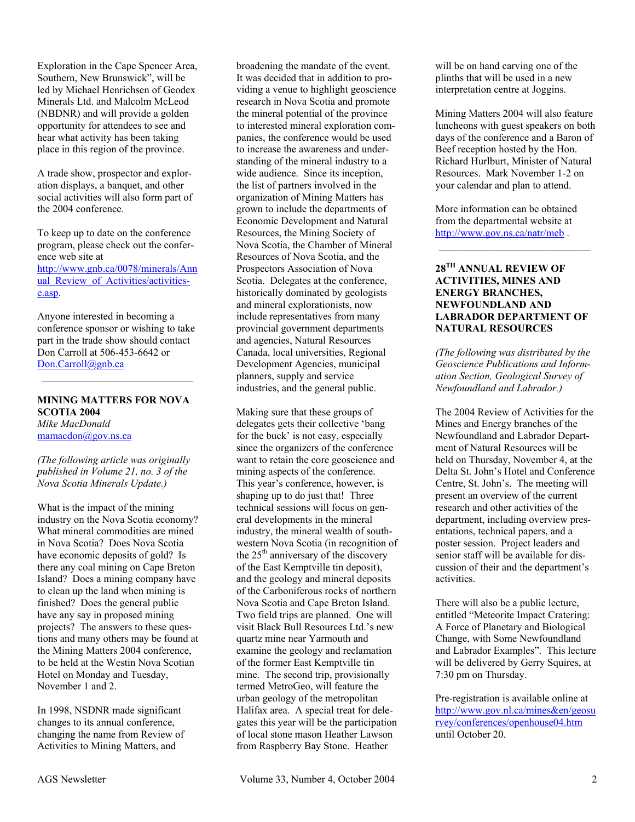Exploration in the Cape Spencer Area, Southern, New Brunswick", will be led by Michael Henrichsen of Geodex Minerals Ltd. and Malcolm McLeod (NBDNR) and will provide a golden opportunity for attendees to see and hear what activity has been taking place in this region of the province.

A trade show, prospector and exploration displays, a banquet, and other social activities will also form part of the 2004 conference.

To keep up to date on the conference program, please check out the conference web site at http://www.gnb.ca/0078/minerals/Ann ual Review of Activities/activitiese.asp.

Anyone interested in becoming a conference sponsor or wishing to take part in the trade show should contact Don Carroll at 506-453-6642 or Don.Carroll@gnb.ca

#### **MINING MATTERS FOR NOVA SCOTIA 2004** *Mike MacDonald*  mamacdon@gov.ns.ca

*(The following article was originally published in Volume 21, no. 3 of the Nova Scotia Minerals Update.)* 

What is the impact of the mining industry on the Nova Scotia economy? What mineral commodities are mined in Nova Scotia? Does Nova Scotia have economic deposits of gold? Is there any coal mining on Cape Breton Island? Does a mining company have to clean up the land when mining is finished? Does the general public have any say in proposed mining projects? The answers to these questions and many others may be found at the Mining Matters 2004 conference, to be held at the Westin Nova Scotian Hotel on Monday and Tuesday, November 1 and 2.

In 1998, NSDNR made significant changes to its annual conference, changing the name from Review of Activities to Mining Matters, and

broadening the mandate of the event. It was decided that in addition to providing a venue to highlight geoscience research in Nova Scotia and promote the mineral potential of the province to interested mineral exploration companies, the conference would be used to increase the awareness and understanding of the mineral industry to a wide audience. Since its inception, the list of partners involved in the organization of Mining Matters has grown to include the departments of Economic Development and Natural Resources, the Mining Society of Nova Scotia, the Chamber of Mineral Resources of Nova Scotia, and the Prospectors Association of Nova Scotia. Delegates at the conference, historically dominated by geologists and mineral explorationists, now include representatives from many provincial government departments and agencies, Natural Resources Canada, local universities, Regional Development Agencies, municipal planners, supply and service industries, and the general public.

Making sure that these groups of delegates gets their collective 'bang for the buck' is not easy, especially since the organizers of the conference want to retain the core geoscience and mining aspects of the conference. This year's conference, however, is shaping up to do just that! Three technical sessions will focus on general developments in the mineral industry, the mineral wealth of southwestern Nova Scotia (in recognition of the  $25<sup>th</sup>$  anniversary of the discovery of the East Kemptville tin deposit), and the geology and mineral deposits of the Carboniferous rocks of northern Nova Scotia and Cape Breton Island. Two field trips are planned. One will visit Black Bull Resources Ltd.'s new quartz mine near Yarmouth and examine the geology and reclamation of the former East Kemptville tin mine. The second trip, provisionally termed MetroGeo, will feature the urban geology of the metropolitan Halifax area. A special treat for delegates this year will be the participation of local stone mason Heather Lawson from Raspberry Bay Stone. Heather

will be on hand carving one of the plinths that will be used in a new interpretation centre at Joggins.

Mining Matters 2004 will also feature luncheons with guest speakers on both days of the conference and a Baron of Beef reception hosted by the Hon. Richard Hurlburt, Minister of Natural Resources. Mark November 1-2 on your calendar and plan to attend.

More information can be obtained from the departmental website at http://www.gov.ns.ca/natr/meb .

#### **28TH ANNUAL REVIEW OF ACTIVITIES, MINES AND ENERGY BRANCHES, NEWFOUNDLAND AND LABRADOR DEPARTMENT OF NATURAL RESOURCES**

\_\_\_\_\_\_\_\_\_\_\_\_\_\_\_\_\_\_\_\_\_\_\_\_\_\_\_\_\_

*(The following was distributed by the Geoscience Publications and Information Section, Geological Survey of Newfoundland and Labrador.)* 

The 2004 Review of Activities for the Mines and Energy branches of the Newfoundland and Labrador Department of Natural Resources will be held on Thursday, November 4, at the Delta St. John's Hotel and Conference Centre, St. John's. The meeting will present an overview of the current research and other activities of the department, including overview presentations, technical papers, and a poster session. Project leaders and senior staff will be available for discussion of their and the department's activities.

There will also be a public lecture, entitled "Meteorite Impact Cratering: A Force of Planetary and Biological Change, with Some Newfoundland and Labrador Examples". This lecture will be delivered by Gerry Squires, at 7:30 pm on Thursday.

Pre-registration is available online at http://www.gov.nl.ca/mines&en/geosu rvey/conferences/openhouse04.htm until October 20.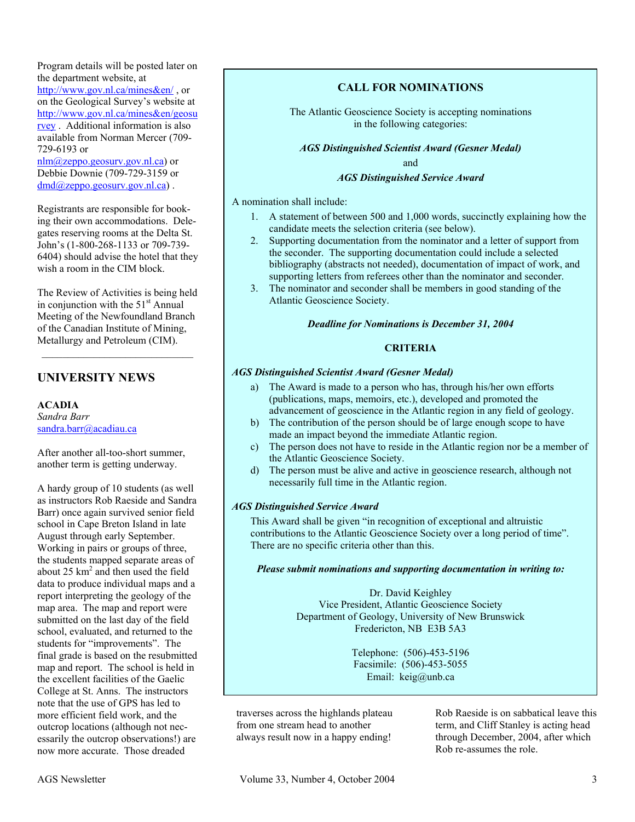Program details will be posted later on the department website, at http://www.gov.nl.ca/mines&en/ , or on the Geological Survey's website at http://www.gov.nl.ca/mines&en/geosu rvey . Additional information is also available from Norman Mercer (709- 729-6193 or nlm@zeppo.geosurv.gov.nl.ca) or

Debbie Downie (709-729-3159 or dmd@zeppo.geosurv.gov.nl.ca) .

Registrants are responsible for booking their own accommodations. Delegates reserving rooms at the Delta St. John's (1-800-268-1133 or 709-739- 6404) should advise the hotel that they wish a room in the CIM block.

The Review of Activities is being held in conjunction with the  $51<sup>st</sup>$  Annual Meeting of the Newfoundland Branch of the Canadian Institute of Mining, Metallurgy and Petroleum (CIM).

 $\mathcal{L}=\mathcal{L}=\mathcal{L}=\mathcal{L}=\mathcal{L}=\mathcal{L}=\mathcal{L}=\mathcal{L}=\mathcal{L}=\mathcal{L}=\mathcal{L}=\mathcal{L}=\mathcal{L}=\mathcal{L}=\mathcal{L}=\mathcal{L}=\mathcal{L}=\mathcal{L}=\mathcal{L}=\mathcal{L}=\mathcal{L}=\mathcal{L}=\mathcal{L}=\mathcal{L}=\mathcal{L}=\mathcal{L}=\mathcal{L}=\mathcal{L}=\mathcal{L}=\mathcal{L}=\mathcal{L}=\mathcal{L}=\mathcal{L}=\mathcal{L}=\mathcal{L}=\mathcal{L}=\mathcal{$ 

# **UNIVERSITY NEWS**

#### **ACADIA**  *Sandra Barr*  sandra.barr@acadiau.ca

After another all-too-short summer, another term is getting underway.

A hardy group of 10 students (as well as instructors Rob Raeside and Sandra Barr) once again survived senior field school in Cape Breton Island in late August through early September. Working in pairs or groups of three, the students mapped separate areas of about 25 km<sup>2</sup> and then used the field data to produce individual maps and a report interpreting the geology of the map area. The map and report were submitted on the last day of the field school, evaluated, and returned to the students for "improvements". The final grade is based on the resubmitted map and report. The school is held in the excellent facilities of the Gaelic College at St. Anns. The instructors note that the use of GPS has led to more efficient field work, and the outcrop locations (although not necessarily the outcrop observations!) are now more accurate. Those dreaded

# **CALL FOR NOMINATIONS**

The Atlantic Geoscience Society is accepting nominations in the following categories:

#### *AGS Distinguished Scientist Award (Gesner Medal)*

and

*AGS Distinguished Service Award* 

A nomination shall include:

- 1. A statement of between 500 and 1,000 words, succinctly explaining how the candidate meets the selection criteria (see below).
- 2. Supporting documentation from the nominator and a letter of support from the seconder. The supporting documentation could include a selected bibliography (abstracts not needed), documentation of impact of work, and supporting letters from referees other than the nominator and seconder.
- 3. The nominator and seconder shall be members in good standing of the Atlantic Geoscience Society.

#### *Deadline for Nominations is December 31, 2004*

#### **CRITERIA**

#### *AGS Distinguished Scientist Award (Gesner Medal)*

- a) The Award is made to a person who has, through his/her own efforts (publications, maps, memoirs, etc.), developed and promoted the advancement of geoscience in the Atlantic region in any field of geology.
- b) The contribution of the person should be of large enough scope to have made an impact beyond the immediate Atlantic region.
- c) The person does not have to reside in the Atlantic region nor be a member of the Atlantic Geoscience Society.
- d) The person must be alive and active in geoscience research, although not necessarily full time in the Atlantic region.

#### *AGS Distinguished Service Award*

This Award shall be given "in recognition of exceptional and altruistic contributions to the Atlantic Geoscience Society over a long period of time". There are no specific criteria other than this.

*Please submit nominations and supporting documentation in writing to:* 

Dr. David Keighley Vice President, Atlantic Geoscience Society Department of Geology, University of New Brunswick Fredericton, NB E3B 5A3

> Telephone: (506)-453-5196 Facsimile: (506)-453-5055 Email: keig@unb.ca

traverses across the highlands plateau from one stream head to another always result now in a happy ending!

Rob Raeside is on sabbatical leave this term, and Cliff Stanley is acting head through December, 2004, after which Rob re-assumes the role.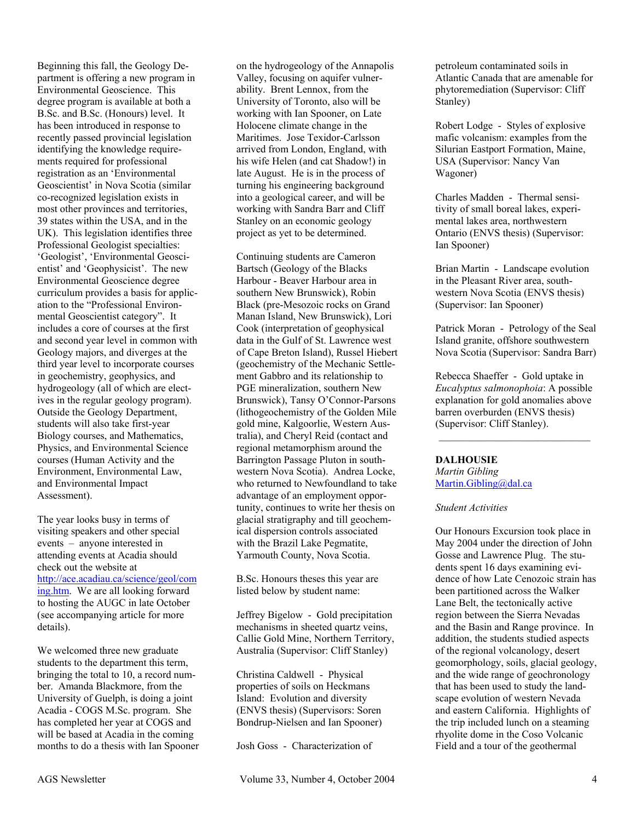Beginning this fall, the Geology Department is offering a new program in Environmental Geoscience. This degree program is available at both a B.Sc. and B.Sc. (Honours) level. It has been introduced in response to recently passed provincial legislation identifying the knowledge requirements required for professional registration as an 'Environmental Geoscientist' in Nova Scotia (similar co-recognized legislation exists in most other provinces and territories, 39 states within the USA, and in the UK). This legislation identifies three Professional Geologist specialties: 'Geologist', 'Environmental Geoscientist' and 'Geophysicist'. The new Environmental Geoscience degree curriculum provides a basis for application to the "Professional Environmental Geoscientist category". It includes a core of courses at the first and second year level in common with Geology majors, and diverges at the third year level to incorporate courses in geochemistry, geophysics, and hydrogeology (all of which are electives in the regular geology program). Outside the Geology Department, students will also take first-year Biology courses, and Mathematics, Physics, and Environmental Science courses (Human Activity and the Environment, Environmental Law, and Environmental Impact Assessment).

The year looks busy in terms of visiting speakers and other special events – anyone interested in attending events at Acadia should check out the website at http://ace.acadiau.ca/science/geol/com ing.htm. We are all looking forward to hosting the AUGC in late October (see accompanying article for more details).

We welcomed three new graduate students to the department this term, bringing the total to 10, a record number. Amanda Blackmore, from the University of Guelph, is doing a joint Acadia - COGS M.Sc. program. She has completed her year at COGS and will be based at Acadia in the coming months to do a thesis with Ian Spooner

on the hydrogeology of the Annapolis Valley, focusing on aquifer vulnerability. Brent Lennox, from the University of Toronto, also will be working with Ian Spooner, on Late Holocene climate change in the Maritimes. Jose Texidor-Carlsson arrived from London, England, with his wife Helen (and cat Shadow!) in late August. He is in the process of turning his engineering background into a geological career, and will be working with Sandra Barr and Cliff Stanley on an economic geology project as yet to be determined.

Continuing students are Cameron Bartsch (Geology of the Blacks Harbour - Beaver Harbour area in southern New Brunswick), Robin Black (pre-Mesozoic rocks on Grand Manan Island, New Brunswick), Lori Cook (interpretation of geophysical data in the Gulf of St. Lawrence west of Cape Breton Island), Russel Hiebert (geochemistry of the Mechanic Settlement Gabbro and its relationship to PGE mineralization, southern New Brunswick), Tansy O'Connor-Parsons (lithogeochemistry of the Golden Mile gold mine, Kalgoorlie, Western Australia), and Cheryl Reid (contact and regional metamorphism around the Barrington Passage Pluton in southwestern Nova Scotia). Andrea Locke, who returned to Newfoundland to take advantage of an employment opportunity, continues to write her thesis on glacial stratigraphy and till geochemical dispersion controls associated with the Brazil Lake Pegmatite, Yarmouth County, Nova Scotia.

B.Sc. Honours theses this year are listed below by student name:

Jeffrey Bigelow - Gold precipitation mechanisms in sheeted quartz veins, Callie Gold Mine, Northern Territory, Australia (Supervisor: Cliff Stanley)

Christina Caldwell - Physical properties of soils on Heckmans Island: Evolution and diversity (ENVS thesis) (Supervisors: Soren Bondrup-Nielsen and Ian Spooner)

Josh Goss - Characterization of

petroleum contaminated soils in Atlantic Canada that are amenable for phytoremediation (Supervisor: Cliff Stanley)

Robert Lodge - Styles of explosive mafic volcanism: examples from the Silurian Eastport Formation, Maine, USA (Supervisor: Nancy Van Wagoner)

Charles Madden - Thermal sensitivity of small boreal lakes, experimental lakes area, northwestern Ontario (ENVS thesis) (Supervisor: Ian Spooner)

Brian Martin - Landscape evolution in the Pleasant River area, southwestern Nova Scotia (ENVS thesis) (Supervisor: Ian Spooner)

Patrick Moran - Petrology of the Seal Island granite, offshore southwestern Nova Scotia (Supervisor: Sandra Barr)

Rebecca Shaeffer - Gold uptake in *Eucalyptus salmonophoia*: A possible explanation for gold anomalies above barren overburden (ENVS thesis) (Supervisor: Cliff Stanley).

 $\mathcal{L}_\text{max}$ 

#### **DALHOUSIE**

*Martin Gibling*  Martin.Gibling@dal.ca

#### *Student Activities*

Our Honours Excursion took place in May 2004 under the direction of John Gosse and Lawrence Plug. The students spent 16 days examining evidence of how Late Cenozoic strain has been partitioned across the Walker Lane Belt, the tectonically active region between the Sierra Nevadas and the Basin and Range province. In addition, the students studied aspects of the regional volcanology, desert geomorphology, soils, glacial geology, and the wide range of geochronology that has been used to study the landscape evolution of western Nevada and eastern California. Highlights of the trip included lunch on a steaming rhyolite dome in the Coso Volcanic Field and a tour of the geothermal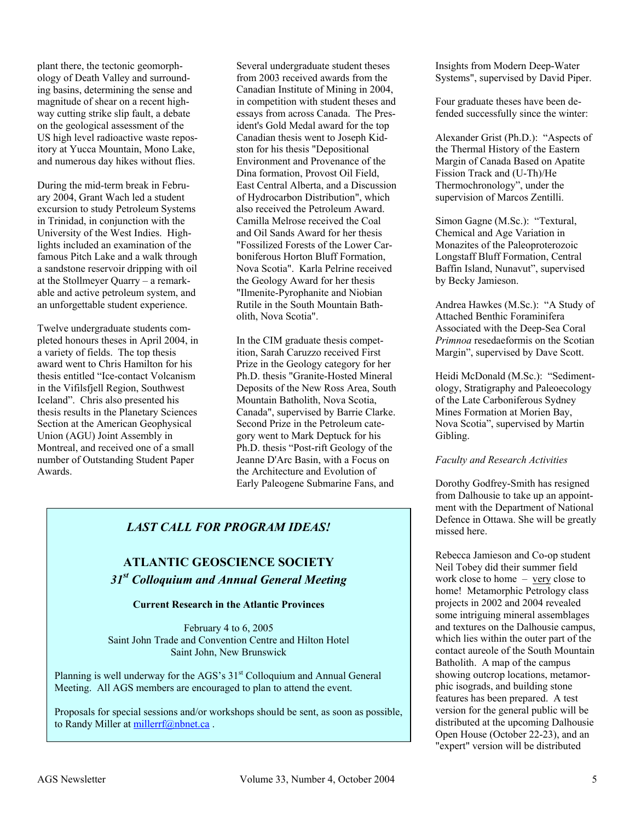plant there, the tectonic geomorphology of Death Valley and surrounding basins, determining the sense and magnitude of shear on a recent highway cutting strike slip fault, a debate on the geological assessment of the US high level radioactive waste repository at Yucca Mountain, Mono Lake, and numerous day hikes without flies.

During the mid-term break in February 2004, Grant Wach led a student excursion to study Petroleum Systems in Trinidad, in conjunction with the University of the West Indies. Highlights included an examination of the famous Pitch Lake and a walk through a sandstone reservoir dripping with oil at the Stollmeyer Quarry – a remarkable and active petroleum system, and an unforgettable student experience.

Twelve undergraduate students completed honours theses in April 2004, in a variety of fields. The top thesis award went to Chris Hamilton for his thesis entitled "Ice-contact Volcanism in the Vifilsfjell Region, Southwest Iceland". Chris also presented his thesis results in the Planetary Sciences Section at the American Geophysical Union (AGU) Joint Assembly in Montreal, and received one of a small number of Outstanding Student Paper Awards.

Several undergraduate student theses from 2003 received awards from the Canadian Institute of Mining in 2004, in competition with student theses and essays from across Canada. The President's Gold Medal award for the top Canadian thesis went to Joseph Kidston for his thesis "Depositional Environment and Provenance of the Dina formation, Provost Oil Field, East Central Alberta, and a Discussion of Hydrocarbon Distribution", which also received the Petroleum Award. Camilla Melrose received the Coal and Oil Sands Award for her thesis "Fossilized Forests of the Lower Carboniferous Horton Bluff Formation, Nova Scotia". Karla Pelrine received the Geology Award for her thesis "Ilmenite-Pyrophanite and Niobian Rutile in the South Mountain Batholith, Nova Scotia".

In the CIM graduate thesis competition, Sarah Caruzzo received First Prize in the Geology category for her Ph.D. thesis "Granite-Hosted Mineral Deposits of the New Ross Area, South Mountain Batholith, Nova Scotia, Canada", supervised by Barrie Clarke. Second Prize in the Petroleum category went to Mark Deptuck for his Ph.D. thesis "Post-rift Geology of the Jeanne D'Arc Basin, with a Focus on the Architecture and Evolution of Early Paleogene Submarine Fans, and

# *LAST CALL FOR PROGRAM IDEAS!*

# **ATLANTIC GEOSCIENCE SOCIETY**  *31st Colloquium and Annual General Meeting*

#### **Current Research in the Atlantic Provinces**

February 4 to 6, 2005 Saint John Trade and Convention Centre and Hilton Hotel Saint John, New Brunswick

Planning is well underway for the AGS's  $31<sup>st</sup>$  Colloquium and Annual General Meeting. All AGS members are encouraged to plan to attend the event.

Proposals for special sessions and/or workshops should be sent, as soon as possible, to Randy Miller at millerrf@nbnet.ca .

Insights from Modern Deep-Water Systems", supervised by David Piper.

Four graduate theses have been defended successfully since the winter:

Alexander Grist (Ph.D.): "Aspects of the Thermal History of the Eastern Margin of Canada Based on Apatite Fission Track and (U-Th)/He Thermochronology", under the supervision of Marcos Zentilli.

Simon Gagne (M.Sc.): "Textural, Chemical and Age Variation in Monazites of the Paleoproterozoic Longstaff Bluff Formation, Central Baffin Island, Nunavut", supervised by Becky Jamieson.

Andrea Hawkes (M.Sc.): "A Study of Attached Benthic Foraminifera Associated with the Deep-Sea Coral *Primnoa* resedaeformis on the Scotian Margin", supervised by Dave Scott.

Heidi McDonald (M.Sc.): "Sedimentology, Stratigraphy and Paleoecology of the Late Carboniferous Sydney Mines Formation at Morien Bay, Nova Scotia", supervised by Martin Gibling.

# *Faculty and Research Activities*

Dorothy Godfrey-Smith has resigned from Dalhousie to take up an appointment with the Department of National Defence in Ottawa. She will be greatly missed here.

Rebecca Jamieson and Co-op student Neil Tobey did their summer field work close to home – very close to home! Metamorphic Petrology class projects in 2002 and 2004 revealed some intriguing mineral assemblages and textures on the Dalhousie campus, which lies within the outer part of the contact aureole of the South Mountain Batholith. A map of the campus showing outcrop locations, metamorphic isograds, and building stone features has been prepared. A test version for the general public will be distributed at the upcoming Dalhousie Open House (October 22-23), and an "expert" version will be distributed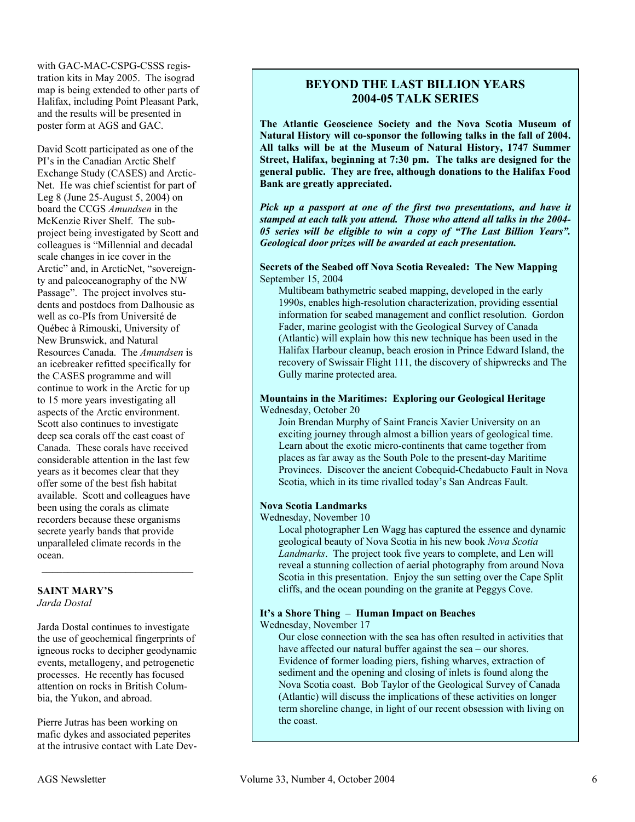with GAC-MAC-CSPG-CSSS registration kits in May 2005. The isograd map is being extended to other parts of Halifax, including Point Pleasant Park, and the results will be presented in poster form at AGS and GAC.

David Scott participated as one of the PI's in the Canadian Arctic Shelf Exchange Study (CASES) and Arctic-Net. He was chief scientist for part of Leg 8 (June 25-August 5, 2004) on board the CCGS *Amundsen* in the McKenzie River Shelf. The subproject being investigated by Scott and colleagues is "Millennial and decadal scale changes in ice cover in the Arctic" and, in ArcticNet, "sovereignty and paleoceanography of the NW Passage". The project involves students and postdocs from Dalhousie as well as co-PIs from Université de Québec à Rimouski, University of New Brunswick, and Natural Resources Canada. The *Amundsen* is an icebreaker refitted specifically for the CASES programme and will continue to work in the Arctic for up to 15 more years investigating all aspects of the Arctic environment. Scott also continues to investigate deep sea corals off the east coast of Canada. These corals have received considerable attention in the last few years as it becomes clear that they offer some of the best fish habitat available. Scott and colleagues have been using the corals as climate recorders because these organisms secrete yearly bands that provide unparalleled climate records in the ocean.

#### **SAINT MARY'S**  *Jarda Dostal*

Jarda Dostal continues to investigate the use of geochemical fingerprints of igneous rocks to decipher geodynamic events, metallogeny, and petrogenetic processes. He recently has focused attention on rocks in British Columbia, the Yukon, and abroad.

 $\mathcal{L}=\mathcal{L}=\mathcal{L}=\mathcal{L}=\mathcal{L}=\mathcal{L}=\mathcal{L}=\mathcal{L}=\mathcal{L}=\mathcal{L}=\mathcal{L}=\mathcal{L}=\mathcal{L}=\mathcal{L}=\mathcal{L}=\mathcal{L}=\mathcal{L}=\mathcal{L}=\mathcal{L}=\mathcal{L}=\mathcal{L}=\mathcal{L}=\mathcal{L}=\mathcal{L}=\mathcal{L}=\mathcal{L}=\mathcal{L}=\mathcal{L}=\mathcal{L}=\mathcal{L}=\mathcal{L}=\mathcal{L}=\mathcal{L}=\mathcal{L}=\mathcal{L}=\mathcal{L}=\mathcal{$ 

Pierre Jutras has been working on mafic dykes and associated peperites at the intrusive contact with Late Dev-

# **BEYOND THE LAST BILLION YEARS 2004-05 TALK SERIES**

**The Atlantic Geoscience Society and the Nova Scotia Museum of Natural History will co-sponsor the following talks in the fall of 2004. All talks will be at the Museum of Natural History, 1747 Summer Street, Halifax, beginning at 7:30 pm. The talks are designed for the general public. They are free, although donations to the Halifax Food Bank are greatly appreciated.** 

*Pick up a passport at one of the first two presentations, and have it stamped at each talk you attend. Those who attend all talks in the 2004- 05 series will be eligible to win a copy of "The Last Billion Years". Geological door prizes will be awarded at each presentation.* 

#### **Secrets of the Seabed off Nova Scotia Revealed: The New Mapping**  September 15, 2004

Multibeam bathymetric seabed mapping, developed in the early 1990s, enables high-resolution characterization, providing essential information for seabed management and conflict resolution. Gordon Fader, marine geologist with the Geological Survey of Canada (Atlantic) will explain how this new technique has been used in the Halifax Harbour cleanup, beach erosion in Prince Edward Island, the recovery of Swissair Flight 111, the discovery of shipwrecks and The Gully marine protected area.

#### **Mountains in the Maritimes: Exploring our Geological Heritage**  Wednesday, October 20

Join Brendan Murphy of Saint Francis Xavier University on an exciting journey through almost a billion years of geological time. Learn about the exotic micro-continents that came together from places as far away as the South Pole to the present-day Maritime Provinces. Discover the ancient Cobequid-Chedabucto Fault in Nova Scotia, which in its time rivalled today's San Andreas Fault.

# **Nova Scotia Landmarks**

Wednesday, November 10

Local photographer Len Wagg has captured the essence and dynamic geological beauty of Nova Scotia in his new book *Nova Scotia Landmarks*. The project took five years to complete, and Len will reveal a stunning collection of aerial photography from around Nova Scotia in this presentation. Enjoy the sun setting over the Cape Split cliffs, and the ocean pounding on the granite at Peggys Cove.

# **It's a Shore Thing – Human Impact on Beaches**

Wednesday, November 17

Our close connection with the sea has often resulted in activities that have affected our natural buffer against the sea – our shores. Evidence of former loading piers, fishing wharves, extraction of sediment and the opening and closing of inlets is found along the Nova Scotia coast. Bob Taylor of the Geological Survey of Canada (Atlantic) will discuss the implications of these activities on longer term shoreline change, in light of our recent obsession with living on the coast.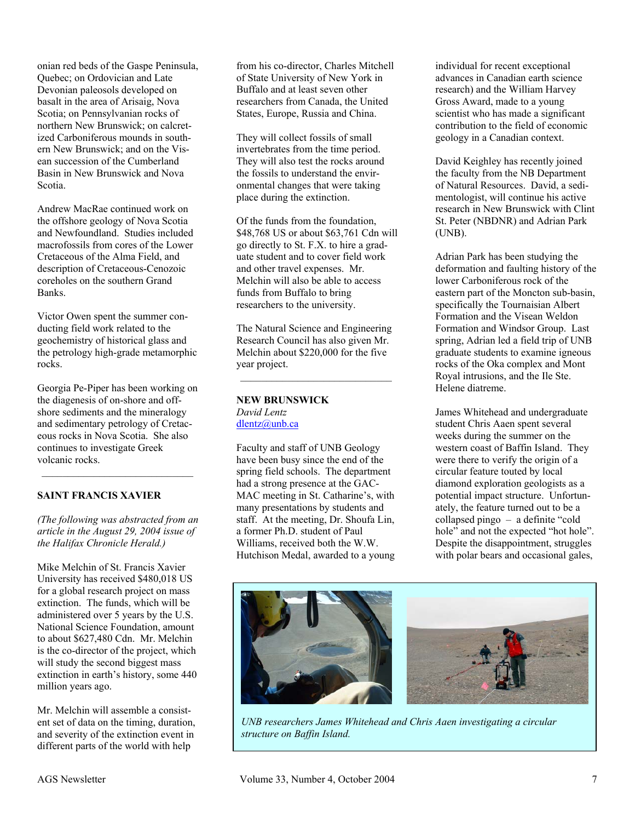onian red beds of the Gaspe Peninsula, Quebec; on Ordovician and Late Devonian paleosols developed on basalt in the area of Arisaig, Nova Scotia; on Pennsylvanian rocks of northern New Brunswick; on calcretized Carboniferous mounds in southern New Brunswick; and on the Visean succession of the Cumberland Basin in New Brunswick and Nova Scotia.

Andrew MacRae continued work on the offshore geology of Nova Scotia and Newfoundland. Studies included macrofossils from cores of the Lower Cretaceous of the Alma Field, and description of Cretaceous-Cenozoic coreholes on the southern Grand Banks.

Victor Owen spent the summer conducting field work related to the geochemistry of historical glass and the petrology high-grade metamorphic rocks.

Georgia Pe-Piper has been working on the diagenesis of on-shore and offshore sediments and the mineralogy and sedimentary petrology of Cretaceous rocks in Nova Scotia. She also continues to investigate Greek volcanic rocks.

 $\mathcal{L}_\text{max}$ 

#### **SAINT FRANCIS XAVIER**

*(The following was abstracted from an article in the August 29, 2004 issue of the Halifax Chronicle Herald.)* 

Mike Melchin of St. Francis Xavier University has received \$480,018 US for a global research project on mass extinction. The funds, which will be administered over 5 years by the U.S. National Science Foundation, amount to about \$627,480 Cdn. Mr. Melchin is the co-director of the project, which will study the second biggest mass extinction in earth's history, some 440 million years ago.

Mr. Melchin will assemble a consistent set of data on the timing, duration, and severity of the extinction event in different parts of the world with help

from his co-director, Charles Mitchell of State University of New York in Buffalo and at least seven other researchers from Canada, the United States, Europe, Russia and China.

They will collect fossils of small invertebrates from the time period. They will also test the rocks around the fossils to understand the environmental changes that were taking place during the extinction.

Of the funds from the foundation, \$48,768 US or about \$63,761 Cdn will go directly to St. F.X. to hire a graduate student and to cover field work and other travel expenses. Mr. Melchin will also be able to access funds from Buffalo to bring researchers to the university.

The Natural Science and Engineering Research Council has also given Mr. Melchin about \$220,000 for the five year project.

#### **NEW BRUNSWICK**  *David Lentz*  dlentz@unb.ca

Faculty and staff of UNB Geology have been busy since the end of the spring field schools. The department had a strong presence at the GAC-MAC meeting in St. Catharine's, with many presentations by students and staff. At the meeting, Dr. Shoufa Lin, a former Ph.D. student of Paul Williams, received both the W.W. Hutchison Medal, awarded to a young

individual for recent exceptional advances in Canadian earth science research) and the William Harvey Gross Award, made to a young scientist who has made a significant contribution to the field of economic geology in a Canadian context.

David Keighley has recently joined the faculty from the NB Department of Natural Resources. David, a sedimentologist, will continue his active research in New Brunswick with Clint St. Peter (NBDNR) and Adrian Park (UNB).

Adrian Park has been studying the deformation and faulting history of the lower Carboniferous rock of the eastern part of the Moncton sub-basin, specifically the Tournaisian Albert Formation and the Visean Weldon Formation and Windsor Group. Last spring, Adrian led a field trip of UNB graduate students to examine igneous rocks of the Oka complex and Mont Royal intrusions, and the Ile Ste. Helene diatreme.

James Whitehead and undergraduate student Chris Aaen spent several weeks during the summer on the western coast of Baffin Island. They were there to verify the origin of a circular feature touted by local diamond exploration geologists as a potential impact structure. Unfortunately, the feature turned out to be a collapsed pingo – a definite "cold hole" and not the expected "hot hole". Despite the disappointment, struggles with polar bears and occasional gales,



*UNB researchers James Whitehead and Chris Aaen investigating a circular structure on Baffin Island.*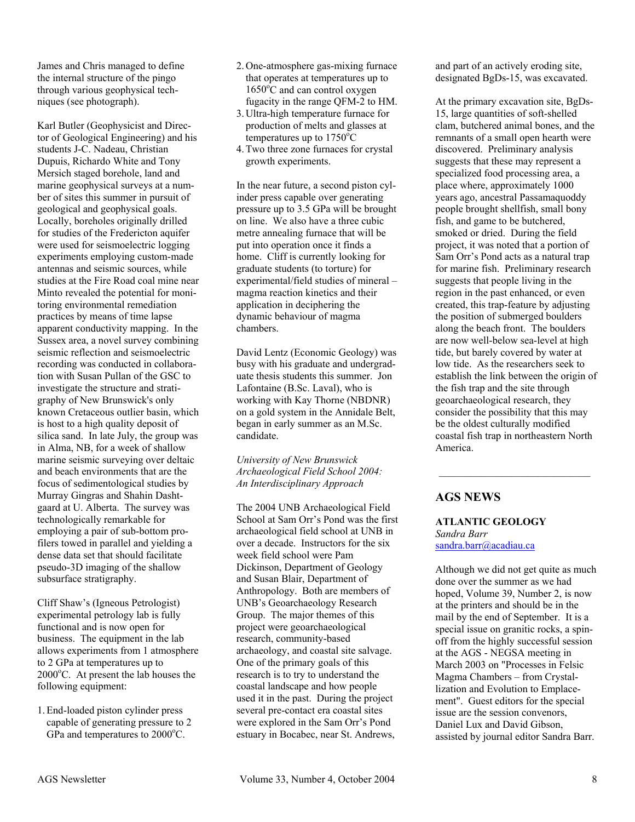James and Chris managed to define the internal structure of the pingo through various geophysical techniques (see photograph).

Karl Butler (Geophysicist and Director of Geological Engineering) and his students J-C. Nadeau, Christian Dupuis, Richardo White and Tony Mersich staged borehole, land and marine geophysical surveys at a number of sites this summer in pursuit of geological and geophysical goals. Locally, boreholes originally drilled for studies of the Fredericton aquifer were used for seismoelectric logging experiments employing custom-made antennas and seismic sources, while studies at the Fire Road coal mine near Minto revealed the potential for monitoring environmental remediation practices by means of time lapse apparent conductivity mapping. In the Sussex area, a novel survey combining seismic reflection and seismoelectric recording was conducted in collaboration with Susan Pullan of the GSC to investigate the structure and stratigraphy of New Brunswick's only known Cretaceous outlier basin, which is host to a high quality deposit of silica sand. In late July, the group was in Alma, NB, for a week of shallow marine seismic surveying over deltaic and beach environments that are the focus of sedimentological studies by Murray Gingras and Shahin Dashtgaard at U. Alberta. The survey was technologically remarkable for employing a pair of sub-bottom profilers towed in parallel and yielding a dense data set that should facilitate pseudo-3D imaging of the shallow subsurface stratigraphy.

Cliff Shaw's (Igneous Petrologist) experimental petrology lab is fully functional and is now open for business. The equipment in the lab allows experiments from 1 atmosphere to 2 GPa at temperatures up to 2000°C. At present the lab houses the following equipment:

1. End-loaded piston cylinder press capable of generating pressure to 2  $GPa$  and temperatures to 2000 $^{\circ}$ C.

- 2. One-atmosphere gas-mixing furnace that operates at temperatures up to 1650°C and can control oxygen fugacity in the range QFM-2 to HM.
- 3. Ultra-high temperature furnace for production of melts and glasses at temperatures up to  $1750^{\circ}$ C
- 4. Two three zone furnaces for crystal growth experiments.

In the near future, a second piston cylinder press capable over generating pressure up to 3.5 GPa will be brought on line. We also have a three cubic metre annealing furnace that will be put into operation once it finds a home. Cliff is currently looking for graduate students (to torture) for experimental/field studies of mineral – magma reaction kinetics and their application in deciphering the dynamic behaviour of magma chambers.

David Lentz (Economic Geology) was busy with his graduate and undergraduate thesis students this summer. Jon Lafontaine (B.Sc. Laval), who is working with Kay Thorne (NBDNR) on a gold system in the Annidale Belt, began in early summer as an M.Sc. candidate.

*University of New Brunswick Archaeological Field School 2004: An Interdisciplinary Approach* 

The 2004 UNB Archaeological Field School at Sam Orr's Pond was the first archaeological field school at UNB in over a decade. Instructors for the six week field school were Pam Dickinson, Department of Geology and Susan Blair, Department of Anthropology. Both are members of UNB's Geoarchaeology Research Group. The major themes of this project were geoarchaeological research, community-based archaeology, and coastal site salvage. One of the primary goals of this research is to try to understand the coastal landscape and how people used it in the past. During the project several pre-contact era coastal sites were explored in the Sam Orr's Pond estuary in Bocabec, near St. Andrews,

and part of an actively eroding site, designated BgDs-15, was excavated.

At the primary excavation site, BgDs-15, large quantities of soft-shelled clam, butchered animal bones, and the remnants of a small open hearth were discovered. Preliminary analysis suggests that these may represent a specialized food processing area, a place where, approximately 1000 years ago, ancestral Passamaquoddy people brought shellfish, small bony fish, and game to be butchered, smoked or dried. During the field project, it was noted that a portion of Sam Orr's Pond acts as a natural trap for marine fish. Preliminary research suggests that people living in the region in the past enhanced, or even created, this trap-feature by adjusting the position of submerged boulders along the beach front. The boulders are now well-below sea-level at high tide, but barely covered by water at low tide. As the researchers seek to establish the link between the origin of the fish trap and the site through geoarchaeological research, they consider the possibility that this may be the oldest culturally modified coastal fish trap in northeastern North America.

# **AGS NEWS**

**ATLANTIC GEOLOGY** *Sandra Barr*  sandra.barr@acadiau.ca

Although we did not get quite as much done over the summer as we had hoped, Volume 39, Number 2, is now at the printers and should be in the mail by the end of September. It is a special issue on granitic rocks, a spinoff from the highly successful session at the AGS - NEGSA meeting in March 2003 on "Processes in Felsic Magma Chambers – from Crystallization and Evolution to Emplacement". Guest editors for the special issue are the session convenors, Daniel Lux and David Gibson, assisted by journal editor Sandra Barr.

 $\mathcal{L}_\text{max}$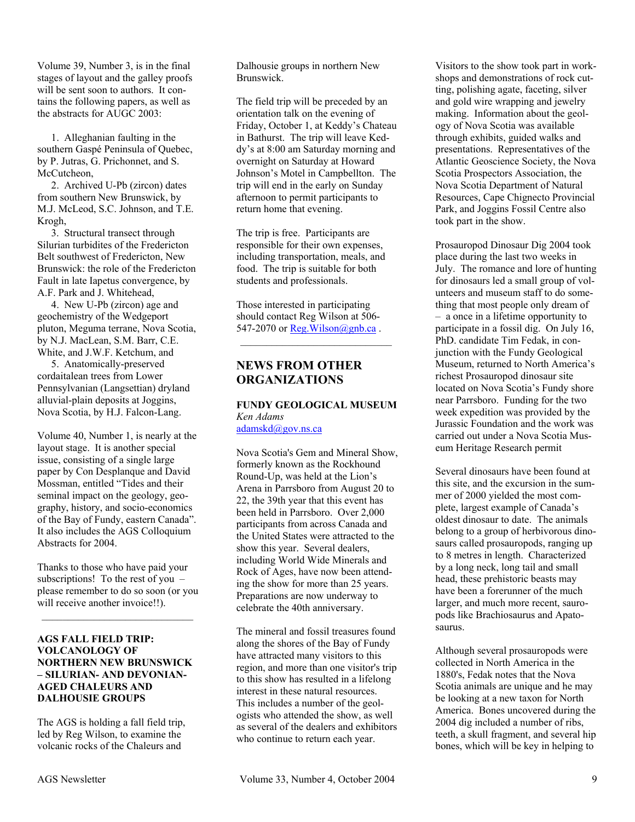Volume 39, Number 3, is in the final stages of layout and the galley proofs will be sent soon to authors. It contains the following papers, as well as the abstracts for AUGC 2003:

1. Alleghanian faulting in the southern Gaspé Peninsula of Quebec, by P. Jutras, G. Prichonnet, and S. McCutcheon.

2. Archived U-Pb (zircon) dates from southern New Brunswick, by M.J. McLeod, S.C. Johnson, and T.E. Krogh,

3. Structural transect through Silurian turbidites of the Fredericton Belt southwest of Fredericton, New Brunswick: the role of the Fredericton Fault in late Iapetus convergence, by A.F. Park and J. Whitehead,

4. New U-Pb (zircon) age and geochemistry of the Wedgeport pluton, Meguma terrane, Nova Scotia, by N.J. MacLean, S.M. Barr, C.E. White, and J.W.F. Ketchum, and

5. Anatomically-preserved cordaitalean trees from Lower Pennsylvanian (Langsettian) dryland alluvial-plain deposits at Joggins, Nova Scotia, by H.J. Falcon-Lang.

Volume 40, Number 1, is nearly at the layout stage. It is another special issue, consisting of a single large paper by Con Desplanque and David Mossman, entitled "Tides and their seminal impact on the geology, geography, history, and socio-economics of the Bay of Fundy, eastern Canada". It also includes the AGS Colloquium Abstracts for 2004.

Thanks to those who have paid your subscriptions! To the rest of you – please remember to do so soon (or you will receive another invoice!!).

 $\mathcal{L}_\text{max}$ 

#### **AGS FALL FIELD TRIP: VOLCANOLOGY OF NORTHERN NEW BRUNSWICK – SILURIAN- AND DEVONIAN-AGED CHALEURS AND DALHOUSIE GROUPS**

The AGS is holding a fall field trip, led by Reg Wilson, to examine the volcanic rocks of the Chaleurs and

Dalhousie groups in northern New Brunswick.

The field trip will be preceded by an orientation talk on the evening of Friday, October 1, at Keddy's Chateau in Bathurst. The trip will leave Keddy's at 8:00 am Saturday morning and overnight on Saturday at Howard Johnson's Motel in Campbellton. The trip will end in the early on Sunday afternoon to permit participants to return home that evening.

The trip is free. Participants are responsible for their own expenses, including transportation, meals, and food. The trip is suitable for both students and professionals.

Those interested in participating should contact Reg Wilson at 506- 547-2070 or  $\text{Reg.Wilson@gnb.ca}$ .

# **NEWS FROM OTHER ORGANIZATIONS**

#### **FUNDY GEOLOGICAL MUSEUM**  *Ken Adams*  adamskd@gov.ns.ca

Nova Scotia's Gem and Mineral Show, formerly known as the Rockhound Round-Up, was held at the Lion's Arena in Parrsboro from August 20 to 22, the 39th year that this event has been held in Parrsboro. Over 2,000 participants from across Canada and the United States were attracted to the show this year. Several dealers, including World Wide Minerals and Rock of Ages, have now been attending the show for more than 25 years. Preparations are now underway to celebrate the 40th anniversary.

The mineral and fossil treasures found along the shores of the Bay of Fundy have attracted many visitors to this region, and more than one visitor's trip to this show has resulted in a lifelong interest in these natural resources. This includes a number of the geologists who attended the show, as well as several of the dealers and exhibitors who continue to return each year.

Visitors to the show took part in workshops and demonstrations of rock cutting, polishing agate, faceting, silver and gold wire wrapping and jewelry making. Information about the geology of Nova Scotia was available through exhibits, guided walks and presentations. Representatives of the Atlantic Geoscience Society, the Nova Scotia Prospectors Association, the Nova Scotia Department of Natural Resources, Cape Chignecto Provincial Park, and Joggins Fossil Centre also took part in the show.

Prosauropod Dinosaur Dig 2004 took place during the last two weeks in July. The romance and lore of hunting for dinosaurs led a small group of volunteers and museum staff to do something that most people only dream of – a once in a lifetime opportunity to participate in a fossil dig. On July 16, PhD. candidate Tim Fedak, in conjunction with the Fundy Geological Museum, returned to North America's richest Prosauropod dinosaur site located on Nova Scotia's Fundy shore near Parrsboro. Funding for the two week expedition was provided by the Jurassic Foundation and the work was carried out under a Nova Scotia Museum Heritage Research permit

Several dinosaurs have been found at this site, and the excursion in the summer of 2000 yielded the most complete, largest example of Canada's oldest dinosaur to date. The animals belong to a group of herbivorous dinosaurs called prosauropods, ranging up to 8 metres in length. Characterized by a long neck, long tail and small head, these prehistoric beasts may have been a forerunner of the much larger, and much more recent, sauropods like Brachiosaurus and Apatosaurus.

Although several prosauropods were collected in North America in the 1880's, Fedak notes that the Nova Scotia animals are unique and he may be looking at a new taxon for North America. Bones uncovered during the 2004 dig included a number of ribs, teeth, a skull fragment, and several hip bones, which will be key in helping to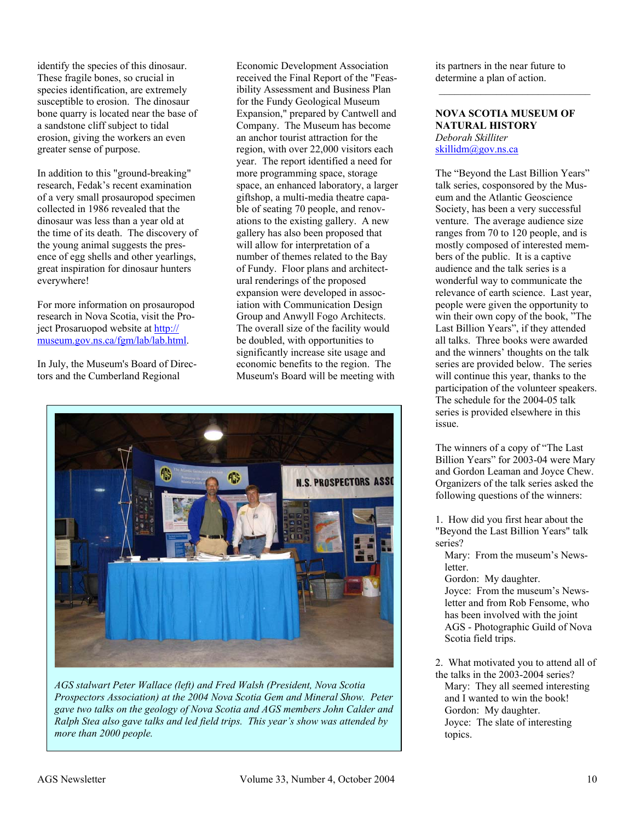identify the species of this dinosaur. These fragile bones, so crucial in species identification, are extremely susceptible to erosion. The dinosaur bone quarry is located near the base of a sandstone cliff subject to tidal erosion, giving the workers an even greater sense of purpose.

In addition to this "ground-breaking" research, Fedak's recent examination of a very small prosauropod specimen collected in 1986 revealed that the dinosaur was less than a year old at the time of its death. The discovery of the young animal suggests the presence of egg shells and other yearlings, great inspiration for dinosaur hunters everywhere!

For more information on prosauropod research in Nova Scotia, visit the Project Prosaruopod website at http:// museum.gov.ns.ca/fgm/lab/lab.html.

In July, the Museum's Board of Directors and the Cumberland Regional

Economic Development Association received the Final Report of the "Feasibility Assessment and Business Plan for the Fundy Geological Museum Expansion," prepared by Cantwell and Company. The Museum has become an anchor tourist attraction for the region, with over 22,000 visitors each year. The report identified a need for more programming space, storage space, an enhanced laboratory, a larger giftshop, a multi-media theatre capable of seating 70 people, and renovations to the existing gallery. A new gallery has also been proposed that will allow for interpretation of a number of themes related to the Bay of Fundy. Floor plans and architectural renderings of the proposed expansion were developed in association with Communication Design Group and Anwyll Fogo Architects. The overall size of the facility would be doubled, with opportunities to significantly increase site usage and economic benefits to the region. The Museum's Board will be meeting with



*AGS stalwart Peter Wallace (left) and Fred Walsh (President, Nova Scotia Prospectors Association) at the 2004 Nova Scotia Gem and Mineral Show. Peter gave two talks on the geology of Nova Scotia and AGS members John Calder and Ralph Stea also gave talks and led field trips. This year's show was attended by more than 2000 people.* 

its partners in the near future to determine a plan of action.

#### **NOVA SCOTIA MUSEUM OF NATURAL HISTORY**  *Deborah Skilliter*  skillidm@gov.ns.ca

The "Beyond the Last Billion Years" talk series, cosponsored by the Museum and the Atlantic Geoscience Society, has been a very successful venture. The average audience size ranges from 70 to 120 people, and is mostly composed of interested members of the public. It is a captive audience and the talk series is a wonderful way to communicate the relevance of earth science. Last year, people were given the opportunity to win their own copy of the book, "The Last Billion Years", if they attended all talks. Three books were awarded and the winners' thoughts on the talk series are provided below. The series will continue this year, thanks to the participation of the volunteer speakers. The schedule for the 2004-05 talk series is provided elsewhere in this issue.

The winners of a copy of "The Last Billion Years" for 2003-04 were Mary and Gordon Leaman and Joyce Chew. Organizers of the talk series asked the following questions of the winners:

1. How did you first hear about the "Beyond the Last Billion Years" talk series?

Mary: From the museum's Newsletter.

Gordon: My daughter.

Joyce: From the museum's Newsletter and from Rob Fensome, who has been involved with the joint AGS - Photographic Guild of Nova Scotia field trips.

2. What motivated you to attend all of the talks in the 2003-2004 series? Mary: They all seemed interesting and I wanted to win the book! Gordon: My daughter. Joyce: The slate of interesting topics.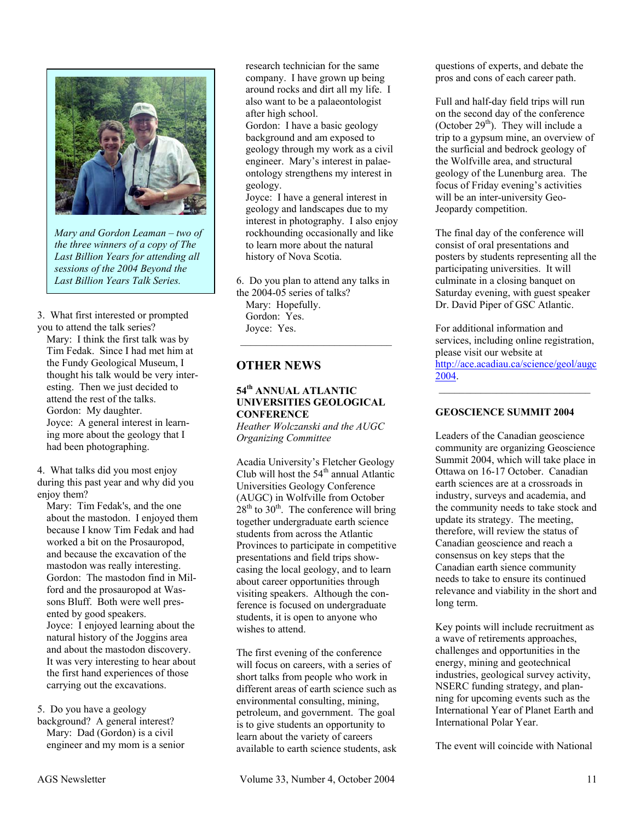

*Mary and Gordon Leaman – two of the three winners of a copy of The Last Billion Years for attending all sessions of the 2004 Beyond the Last Billion Years Talk Series.* 

3. What first interested or prompted you to attend the talk series?

Mary: I think the first talk was by Tim Fedak. Since I had met him at the Fundy Geological Museum, I thought his talk would be very interesting. Then we just decided to attend the rest of the talks. Gordon: My daughter. Joyce: A general interest in learning more about the geology that I had been photographing.

4. What talks did you most enjoy during this past year and why did you enjoy them?

Mary: Tim Fedak's, and the one about the mastodon. I enjoyed them because I know Tim Fedak and had worked a bit on the Prosauropod, and because the excavation of the mastodon was really interesting. Gordon: The mastodon find in Milford and the prosauropod at Wassons Bluff. Both were well presented by good speakers. Joyce: I enjoyed learning about the natural history of the Joggins area and about the mastodon discovery. It was very interesting to hear about the first hand experiences of those carrying out the excavations.

5. Do you have a geology

background? A general interest? Mary: Dad (Gordon) is a civil engineer and my mom is a senior research technician for the same company. I have grown up being around rocks and dirt all my life. I also want to be a palaeontologist after high school.

Gordon: I have a basic geology background and am exposed to geology through my work as a civil engineer. Mary's interest in palaeontology strengthens my interest in geology.

Joyce: I have a general interest in geology and landscapes due to my interest in photography. I also enjoy rockhounding occasionally and like to learn more about the natural history of Nova Scotia.

6. Do you plan to attend any talks in the 2004-05 series of talks?

Mary: Hopefully. Gordon: Yes. Joyce: Yes.

# **OTHER NEWS**

# **54th ANNUAL ATLANTIC UNIVERSITIES GEOLOGICAL CONFERENCE**

*Heather Wolczanski and the AUGC Organizing Committee* 

Acadia University's Fletcher Geology Club will host the  $54<sup>th</sup>$  annual Atlantic Universities Geology Conference (AUGC) in Wolfville from October  $28<sup>th</sup>$  to  $30<sup>th</sup>$ . The conference will bring together undergraduate earth science students from across the Atlantic Provinces to participate in competitive presentations and field trips showcasing the local geology, and to learn about career opportunities through visiting speakers. Although the conference is focused on undergraduate students, it is open to anyone who wishes to attend.

The first evening of the conference will focus on careers, with a series of short talks from people who work in different areas of earth science such as environmental consulting, mining, petroleum, and government. The goal is to give students an opportunity to learn about the variety of careers available to earth science students, ask

questions of experts, and debate the pros and cons of each career path.

Full and half-day field trips will run on the second day of the conference (October  $29<sup>th</sup>$ ). They will include a trip to a gypsum mine, an overview of the surficial and bedrock geology of the Wolfville area, and structural geology of the Lunenburg area. The focus of Friday evening's activities will be an inter-university Geo-Jeopardy competition.

The final day of the conference will consist of oral presentations and posters by students representing all the participating universities. It will culminate in a closing banquet on Saturday evening, with guest speaker Dr. David Piper of GSC Atlantic.

For additional information and services, including online registration, please visit our website at http://ace.acadiau.ca/science/geol/augc 2004. \_\_\_\_\_\_\_\_\_\_\_\_\_\_\_\_\_\_\_\_\_\_\_\_\_\_\_\_\_

#### **GEOSCIENCE SUMMIT 2004**

Leaders of the Canadian geoscience community are organizing Geoscience Summit 2004, which will take place in Ottawa on 16-17 October. Canadian earth sciences are at a crossroads in industry, surveys and academia, and the community needs to take stock and update its strategy. The meeting, therefore, will review the status of Canadian geoscience and reach a consensus on key steps that the Canadian earth sience community needs to take to ensure its continued relevance and viability in the short and long term.

Key points will include recruitment as a wave of retirements approaches, challenges and opportunities in the energy, mining and geotechnical industries, geological survey activity, NSERC funding strategy, and planning for upcoming events such as the International Year of Planet Earth and International Polar Year.

The event will coincide with National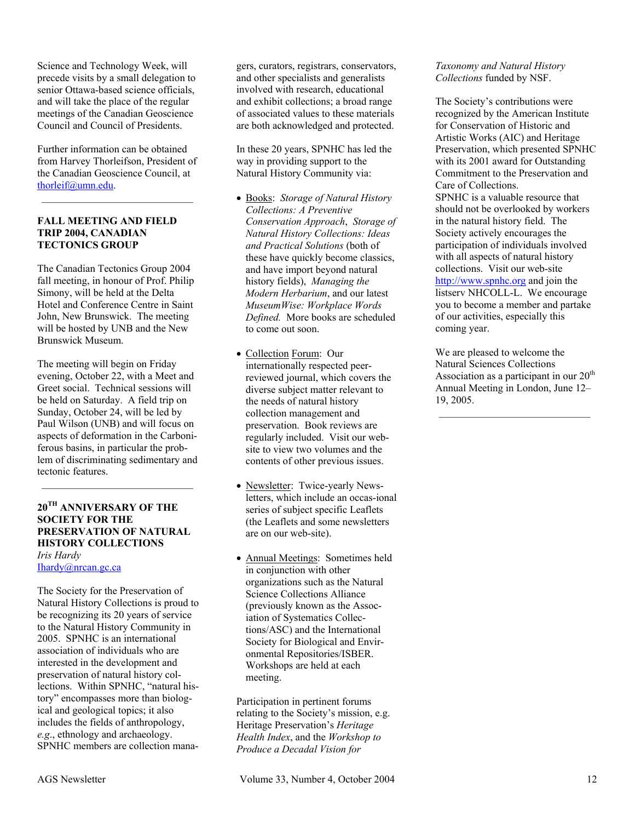Science and Technology Week, will precede visits by a small delegation to senior Ottawa-based science officials, and will take the place of the regular meetings of the Canadian Geoscience Council and Council of Presidents.

Further information can be obtained from Harvey Thorleifson, President of the Canadian Geoscience Council, at thorleif@umn.edu.

#### **FALL MEETING AND FIELD TRIP 2004, CANADIAN TECTONICS GROUP**

The Canadian Tectonics Group 2004 fall meeting, in honour of Prof. Philip Simony, will be held at the Delta Hotel and Conference Centre in Saint John, New Brunswick. The meeting will be hosted by UNB and the New Brunswick Museum.

The meeting will begin on Friday evening, October 22, with a Meet and Greet social. Technical sessions will be held on Saturday. A field trip on Sunday, October 24, will be led by Paul Wilson (UNB) and will focus on aspects of deformation in the Carboniferous basins, in particular the problem of discriminating sedimentary and tectonic features.

#### **20TH ANNIVERSARY OF THE SOCIETY FOR THE PRESERVATION OF NATURAL HISTORY COLLECTIONS**  *Iris Hardy*  Ihardy@nrcan.gc.ca

The Society for the Preservation of Natural History Collections is proud to be recognizing its 20 years of service to the Natural History Community in 2005. SPNHC is an international association of individuals who are interested in the development and preservation of natural history collections. Within SPNHC, "natural history" encompasses more than biological and geological topics; it also includes the fields of anthropology, *e.g*., ethnology and archaeology. SPNHC members are collection mana-

gers, curators, registrars, conservators, and other specialists and generalists involved with research, educational and exhibit collections; a broad range of associated values to these materials are both acknowledged and protected.

In these 20 years, SPNHC has led the way in providing support to the Natural History Community via:

- Books: *Storage of Natural History Collections: A Preventive Conservation Approach*, *Storage of Natural History Collections: Ideas and Practical Solutions* (both of these have quickly become classics, and have import beyond natural history fields), *Managing the Modern Herbarium*, and our latest *MuseumWise: Workplace Words Defined.* More books are scheduled to come out soon.
- Collection Forum: Our internationally respected peerreviewed journal, which covers the diverse subject matter relevant to the needs of natural history collection management and preservation. Book reviews are regularly included. Visit our website to view two volumes and the contents of other previous issues.
- Newsletter: Twice-yearly Newsletters, which include an occas-ional series of subject specific Leaflets (the Leaflets and some newsletters are on our web-site).
- Annual Meetings: Sometimes held in conjunction with other organizations such as the Natural Science Collections Alliance (previously known as the Association of Systematics Collections/ASC) and the International Society for Biological and Environmental Repositories/ISBER. Workshops are held at each meeting.

Participation in pertinent forums relating to the Society's mission, e.g. Heritage Preservation's *Heritage Health Index*, and the *Workshop to Produce a Decadal Vision for* 

#### *Taxonomy and Natural History Collections* funded by NSF.

The Society's contributions were recognized by the American Institute for Conservation of Historic and Artistic Works (AIC) and Heritage Preservation, which presented SPNHC with its 2001 award for Outstanding Commitment to the Preservation and Care of Collections. SPNHC is a valuable resource that should not be overlooked by workers in the natural history field. The Society actively encourages the participation of individuals involved with all aspects of natural history collections. Visit our web-site http://www.spnhc.org and join the listserv NHCOLL-L. We encourage you to become a member and partake of our activities, especially this coming year.

We are pleased to welcome the Natural Sciences Collections Association as a participant in our  $20<sup>th</sup>$ Annual Meeting in London, June 12– 19, 2005.